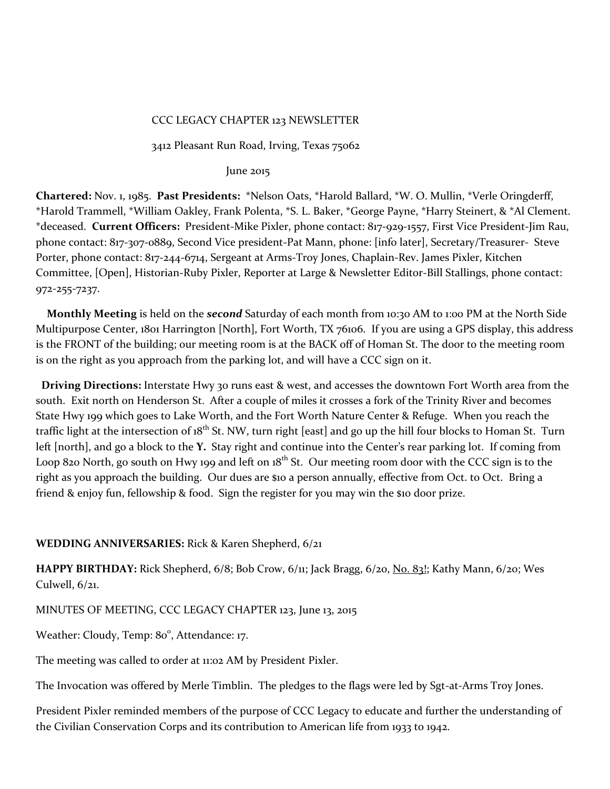#### CCC LEGACY CHAPTER 123 NEWSLETTER

3412 Pleasant Run Road, Irving, Texas 75062

#### June 2015

**Chartered:** Nov. 1, 1985. **Past Presidents:** \*Nelson Oats, \*Harold Ballard, \*W. O. Mullin, \*Verle Oringderff, \*Harold Trammell, \*William Oakley, Frank Polenta, \*S. L. Baker, \*George Payne, \*Harry Steinert, & \*Al Clement. \*deceased. **Current Officers:** President-Mike Pixler, phone contact: 817-929-1557, First Vice President-Jim Rau, phone contact: 817-3o7-0889, Second Vice president-Pat Mann, phone: [info later], Secretary/Treasurer- Steve Porter, phone contact: 817-244-6714, Sergeant at Arms-Troy Jones, Chaplain-Rev. James Pixler, Kitchen Committee, [Open], Historian-Ruby Pixler, Reporter at Large & Newsletter Editor-Bill Stallings, phone contact: 972-255-7237.

 **Monthly Meeting** is held on the *second* Saturday of each month from 10:30 AM to 1:00 PM at the North Side Multipurpose Center, 1801 Harrington [North], Fort Worth, TX 76106. If you are using a GPS display, this address is the FRONT of the building; our meeting room is at the BACK off of Homan St. The door to the meeting room is on the right as you approach from the parking lot, and will have a CCC sign on it.

 **Driving Directions:** Interstate Hwy 30 runs east & west, and accesses the downtown Fort Worth area from the south. Exit north on Henderson St. After a couple of miles it crosses a fork of the Trinity River and becomes State Hwy 199 which goes to Lake Worth, and the Fort Worth Nature Center & Refuge. When you reach the traffic light at the intersection of 18<sup>th</sup> St. NW, turn right [east] and go up the hill four blocks to Homan St. Turn left [north], and go a block to the **Y.** Stay right and continue into the Center's rear parking lot. If coming from Loop 820 North, go south on Hwy 199 and left on  $18^{th}$  St. Our meeting room door with the CCC sign is to the right as you approach the building. Our dues are \$10 a person annually, effective from Oct. to Oct. Bring a friend & enjoy fun, fellowship & food. Sign the register for you may win the \$10 door prize.

#### **WEDDING ANNIVERSARIES:** Rick & Karen Shepherd, 6/21

**HAPPY BIRTHDAY:** Rick Shepherd, 6/8; Bob Crow, 6/11; Jack Bragg, 6/20, No. 83!; Kathy Mann, 6/20; Wes Culwell, 6/21.

MINUTES OF MEETING, CCC LEGACY CHAPTER 123, June 13, 2015

Weather: Cloudy, Temp: 80°, Attendance: 17.

The meeting was called to order at 11:02 AM by President Pixler.

The Invocation was offered by Merle Timblin. The pledges to the flags were led by Sgt-at-Arms Troy Jones.

President Pixler reminded members of the purpose of CCC Legacy to educate and further the understanding of the Civilian Conservation Corps and its contribution to American life from 1933 to 1942.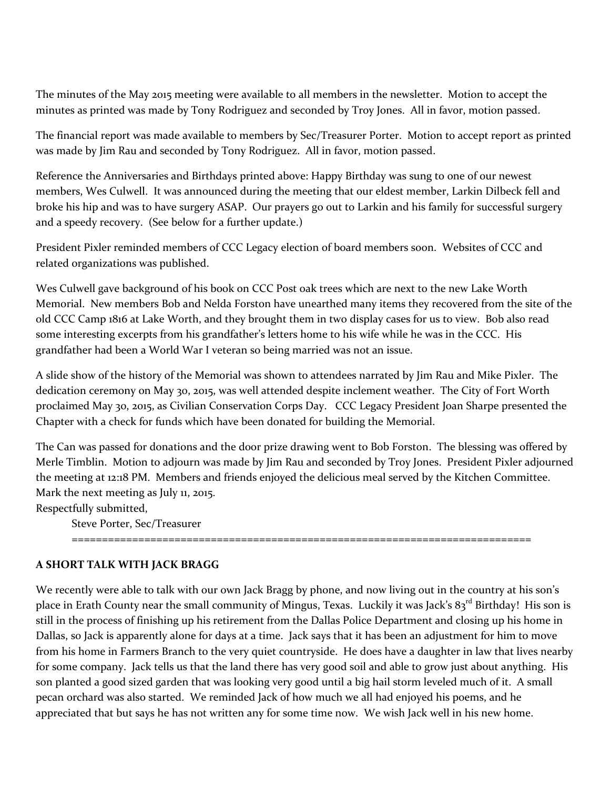The minutes of the May 2015 meeting were available to all members in the newsletter. Motion to accept the minutes as printed was made by Tony Rodriguez and seconded by Troy Jones. All in favor, motion passed.

The financial report was made available to members by Sec/Treasurer Porter. Motion to accept report as printed was made by Jim Rau and seconded by Tony Rodriguez. All in favor, motion passed.

Reference the Anniversaries and Birthdays printed above: Happy Birthday was sung to one of our newest members, Wes Culwell. It was announced during the meeting that our eldest member, Larkin Dilbeck fell and broke his hip and was to have surgery ASAP. Our prayers go out to Larkin and his family for successful surgery and a speedy recovery. (See below for a further update.)

President Pixler reminded members of CCC Legacy election of board members soon. Websites of CCC and related organizations was published.

Wes Culwell gave background of his book on CCC Post oak trees which are next to the new Lake Worth Memorial. New members Bob and Nelda Forston have unearthed many items they recovered from the site of the old CCC Camp 1816 at Lake Worth, and they brought them in two display cases for us to view. Bob also read some interesting excerpts from his grandfather's letters home to his wife while he was in the CCC. His grandfather had been a World War I veteran so being married was not an issue.

A slide show of the history of the Memorial was shown to attendees narrated by Jim Rau and Mike Pixler. The dedication ceremony on May 30, 2015, was well attended despite inclement weather. The City of Fort Worth proclaimed May 30, 2015, as Civilian Conservation Corps Day. CCC Legacy President Joan Sharpe presented the Chapter with a check for funds which have been donated for building the Memorial.

The Can was passed for donations and the door prize drawing went to Bob Forston. The blessing was offered by Merle Timblin. Motion to adjourn was made by Jim Rau and seconded by Troy Jones. President Pixler adjourned the meeting at 12:18 PM. Members and friends enjoyed the delicious meal served by the Kitchen Committee. Mark the next meeting as July 11, 2015.

Respectfully submitted,

Steve Porter, Sec/Treasurer ============================================================================

# **A SHORT TALK WITH JACK BRAGG**

We recently were able to talk with our own Jack Bragg by phone, and now living out in the country at his son's place in Erath County near the small community of Mingus, Texas. Luckily it was Jack's 83<sup>rd</sup> Birthday! His son is still in the process of finishing up his retirement from the Dallas Police Department and closing up his home in Dallas, so Jack is apparently alone for days at a time. Jack says that it has been an adjustment for him to move from his home in Farmers Branch to the very quiet countryside. He does have a daughter in law that lives nearby for some company. Jack tells us that the land there has very good soil and able to grow just about anything. His son planted a good sized garden that was looking very good until a big hail storm leveled much of it. A small pecan orchard was also started. We reminded Jack of how much we all had enjoyed his poems, and he appreciated that but says he has not written any for some time now. We wish Jack well in his new home.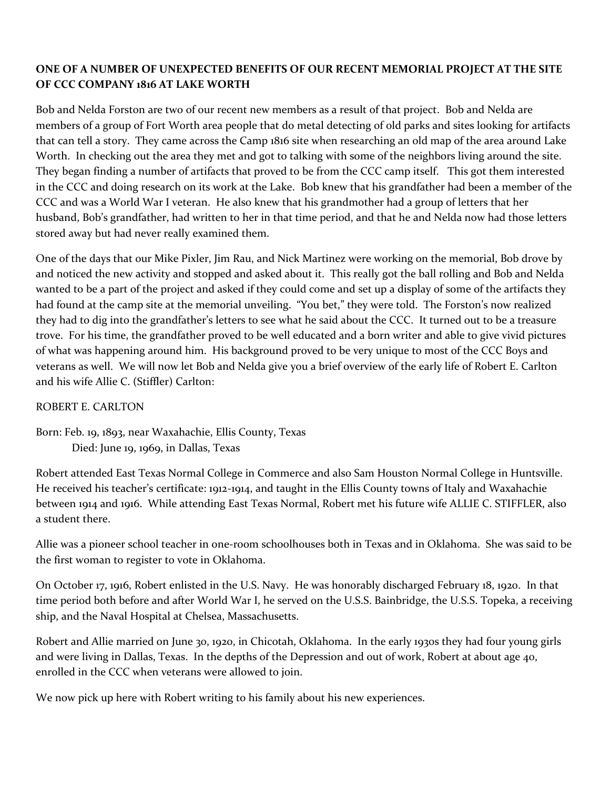### **ONE OF A NUMBER OF UNEXPECTED BENEFITS OF OUR RECENT MEMORIAL PROJECT AT THE SITE OF CCC COMPANY 1816 AT LAKE WORTH**

Bob and Nelda Forston are two of our recent new members as a result of that project. Bob and Nelda are members of a group of Fort Worth area people that do metal detecting of old parks and sites looking for artifacts that can tell a story. They came across the Camp 1816 site when researching an old map of the area around Lake Worth. In checking out the area they met and got to talking with some of the neighbors living around the site. They began finding a number of artifacts that proved to be from the CCC camp itself. This got them interested in the CCC and doing research on its work at the Lake. Bob knew that his grandfather had been a member of the CCC and was a World War I veteran. He also knew that his grandmother had a group of letters that her husband, Bob's grandfather, had written to her in that time period, and that he and Nelda now had those letters stored away but had never really examined them.

One of the days that our Mike Pixler, Jim Rau, and Nick Martinez were working on the memorial, Bob drove by and noticed the new activity and stopped and asked about it. This really got the ball rolling and Bob and Nelda wanted to be a part of the project and asked if they could come and set up a display of some of the artifacts they had found at the camp site at the memorial unveiling. "You bet," they were told. The Forston's now realized they had to dig into the grandfather's letters to see what he said about the CCC. It turned out to be a treasure trove. For his time, the grandfather proved to be well educated and a born writer and able to give vivid pictures of what was happening around him. His background proved to be very unique to most of the CCC Boys and veterans as well. We will now let Bob and Nelda give you a brief overview of the early life of Robert E. Carlton and his wife Allie C. (Stiffler) Carlton:

#### ROBERT E. CARLTON

Born: Feb. 19, 1893, near Waxahachie, Ellis County, Texas Died: June 19, 1969, in Dallas, Texas

Robert attended East Texas Normal College in Commerce and also Sam Houston Normal College in Huntsville. He received his teacher's certificate: 1912-1914, and taught in the Ellis County towns of Italy and Waxahachie between 1914 and 1916. While attending East Texas Normal, Robert met his future wife ALLIE C. STIFFLER, also a student there.

Allie was a pioneer school teacher in one-room schoolhouses both in Texas and in Oklahoma. She was said to be the first woman to register to vote in Oklahoma.

On October 17, 1916, Robert enlisted in the U.S. Navy. He was honorably discharged February 18, 1920. In that time period both before and after World War I, he served on the U.S.S. Bainbridge, the U.S.S. Topeka, a receiving ship, and the Naval Hospital at Chelsea, Massachusetts.

Robert and Allie married on June 30, 1920, in Chicotah, Oklahoma. In the early 1930s they had four young girls and were living in Dallas, Texas. In the depths of the Depression and out of work, Robert at about age 40, enrolled in the CCC when veterans were allowed to join.

We now pick up here with Robert writing to his family about his new experiences.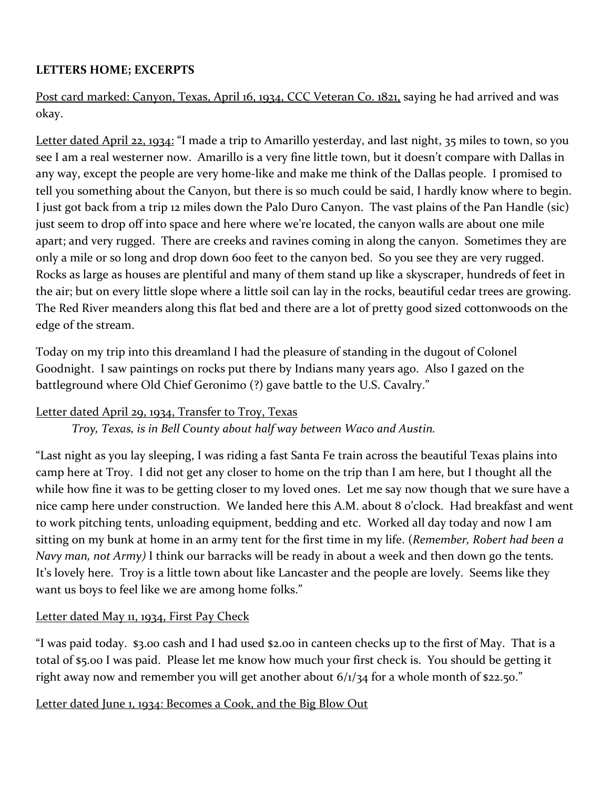# **LETTERS HOME; EXCERPTS**

Post card marked: Canyon, Texas, April 16, 1934, CCC Veteran Co. 1821, saying he had arrived and was okay.

Letter dated April 22, 1934: "I made a trip to Amarillo yesterday, and last night, 35 miles to town, so you see I am a real westerner now. Amarillo is a very fine little town, but it doesn't compare with Dallas in any way, except the people are very home-like and make me think of the Dallas people. I promised to tell you something about the Canyon, but there is so much could be said, I hardly know where to begin. I just got back from a trip 12 miles down the Palo Duro Canyon. The vast plains of the Pan Handle (sic) just seem to drop off into space and here where we're located, the canyon walls are about one mile apart; and very rugged. There are creeks and ravines coming in along the canyon. Sometimes they are only a mile or so long and drop down 600 feet to the canyon bed. So you see they are very rugged. Rocks as large as houses are plentiful and many of them stand up like a skyscraper, hundreds of feet in the air; but on every little slope where a little soil can lay in the rocks, beautiful cedar trees are growing. The Red River meanders along this flat bed and there are a lot of pretty good sized cottonwoods on the edge of the stream.

Today on my trip into this dreamland I had the pleasure of standing in the dugout of Colonel Goodnight. I saw paintings on rocks put there by Indians many years ago. Also I gazed on the battleground where Old Chief Geronimo (?) gave battle to the U.S. Cavalry."

# Letter dated April 29, 1934, Transfer to Troy, Texas

*Troy, Texas, is in Bell County about half way between Waco and Austin.*

"Last night as you lay sleeping, I was riding a fast Santa Fe train across the beautiful Texas plains into camp here at Troy. I did not get any closer to home on the trip than I am here, but I thought all the while how fine it was to be getting closer to my loved ones. Let me say now though that we sure have a nice camp here under construction. We landed here this A.M. about 8 o'clock. Had breakfast and went to work pitching tents, unloading equipment, bedding and etc. Worked all day today and now I am sitting on my bunk at home in an army tent for the first time in my life. (*Remember, Robert had been a Navy man, not Army)* I think our barracks will be ready in about a week and then down go the tents. It's lovely here. Troy is a little town about like Lancaster and the people are lovely. Seems like they want us boys to feel like we are among home folks."

# Letter dated May 11, 1934, First Pay Check

"I was paid today. \$3.00 cash and I had used \$2.00 in canteen checks up to the first of May. That is a total of \$5.00 I was paid. Please let me know how much your first check is. You should be getting it right away now and remember you will get another about 6/1/34 for a whole month of \$22.50."

# Letter dated June 1, 1934: Becomes a Cook, and the Big Blow Out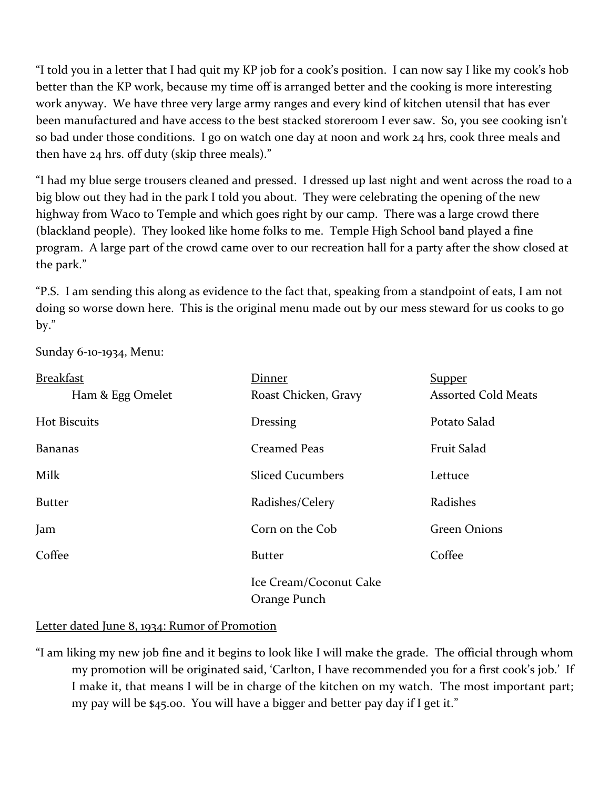"I told you in a letter that I had quit my KP job for a cook's position. I can now say I like my cook's hob better than the KP work, because my time off is arranged better and the cooking is more interesting work anyway. We have three very large army ranges and every kind of kitchen utensil that has ever been manufactured and have access to the best stacked storeroom I ever saw. So, you see cooking isn't so bad under those conditions. I go on watch one day at noon and work 24 hrs, cook three meals and then have 24 hrs. off duty (skip three meals)."

"I had my blue serge trousers cleaned and pressed. I dressed up last night and went across the road to a big blow out they had in the park I told you about. They were celebrating the opening of the new highway from Waco to Temple and which goes right by our camp. There was a large crowd there (blackland people). They looked like home folks to me. Temple High School band played a fine program. A large part of the crowd came over to our recreation hall for a party after the show closed at the park."

"P.S. I am sending this along as evidence to the fact that, speaking from a standpoint of eats, I am not doing so worse down here. This is the original menu made out by our mess steward for us cooks to go by."

Sunday 6-10-1934, Menu:

| <b>Breakfast</b> | Dinner                                 | <b>Supper</b>              |
|------------------|----------------------------------------|----------------------------|
| Ham & Egg Omelet | Roast Chicken, Gravy                   | <b>Assorted Cold Meats</b> |
| Hot Biscuits     | <b>Dressing</b>                        | Potato Salad               |
| <b>Bananas</b>   | <b>Creamed Peas</b>                    | Fruit Salad                |
| Milk             | <b>Sliced Cucumbers</b>                | Lettuce                    |
| <b>Butter</b>    | Radishes/Celery                        | Radishes                   |
| Jam              | Corn on the Cob                        | <b>Green Onions</b>        |
| Coffee           | <b>Butter</b>                          | Coffee                     |
|                  | Ice Cream/Coconut Cake<br>Orange Punch |                            |

#### Letter dated June 8, 1934: Rumor of Promotion

"I am liking my new job fine and it begins to look like I will make the grade. The official through whom my promotion will be originated said, 'Carlton, I have recommended you for a first cook's job.' If I make it, that means I will be in charge of the kitchen on my watch. The most important part; my pay will be \$45.00. You will have a bigger and better pay day if I get it."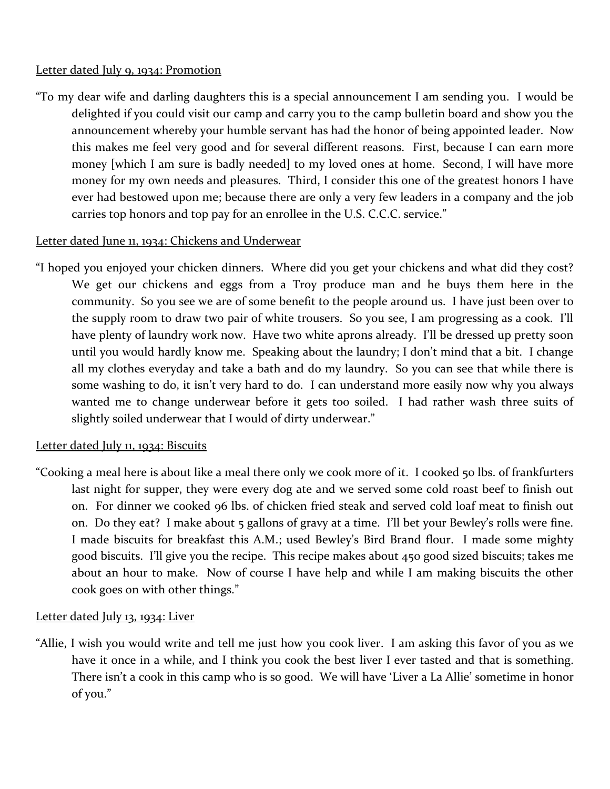### Letter dated July 9, 1934: Promotion

"To my dear wife and darling daughters this is a special announcement I am sending you. I would be delighted if you could visit our camp and carry you to the camp bulletin board and show you the announcement whereby your humble servant has had the honor of being appointed leader. Now this makes me feel very good and for several different reasons. First, because I can earn more money [which I am sure is badly needed] to my loved ones at home. Second, I will have more money for my own needs and pleasures. Third, I consider this one of the greatest honors I have ever had bestowed upon me; because there are only a very few leaders in a company and the job carries top honors and top pay for an enrollee in the U.S. C.C.C. service."

## Letter dated June 11, 1934: Chickens and Underwear

"I hoped you enjoyed your chicken dinners. Where did you get your chickens and what did they cost? We get our chickens and eggs from a Troy produce man and he buys them here in the community. So you see we are of some benefit to the people around us. I have just been over to the supply room to draw two pair of white trousers. So you see, I am progressing as a cook. I'll have plenty of laundry work now. Have two white aprons already. I'll be dressed up pretty soon until you would hardly know me. Speaking about the laundry; I don't mind that a bit. I change all my clothes everyday and take a bath and do my laundry. So you can see that while there is some washing to do, it isn't very hard to do. I can understand more easily now why you always wanted me to change underwear before it gets too soiled. I had rather wash three suits of slightly soiled underwear that I would of dirty underwear."

## Letter dated July 11, 1934: Biscuits

"Cooking a meal here is about like a meal there only we cook more of it. I cooked 50 lbs. of frankfurters last night for supper, they were every dog ate and we served some cold roast beef to finish out on. For dinner we cooked 96 lbs. of chicken fried steak and served cold loaf meat to finish out on. Do they eat? I make about 5 gallons of gravy at a time. I'll bet your Bewley's rolls were fine. I made biscuits for breakfast this A.M.; used Bewley's Bird Brand flour. I made some mighty good biscuits. I'll give you the recipe. This recipe makes about 450 good sized biscuits; takes me about an hour to make. Now of course I have help and while I am making biscuits the other cook goes on with other things."

## Letter dated July 13, 1934: Liver

"Allie, I wish you would write and tell me just how you cook liver. I am asking this favor of you as we have it once in a while, and I think you cook the best liver I ever tasted and that is something. There isn't a cook in this camp who is so good. We will have 'Liver a La Allie' sometime in honor of you."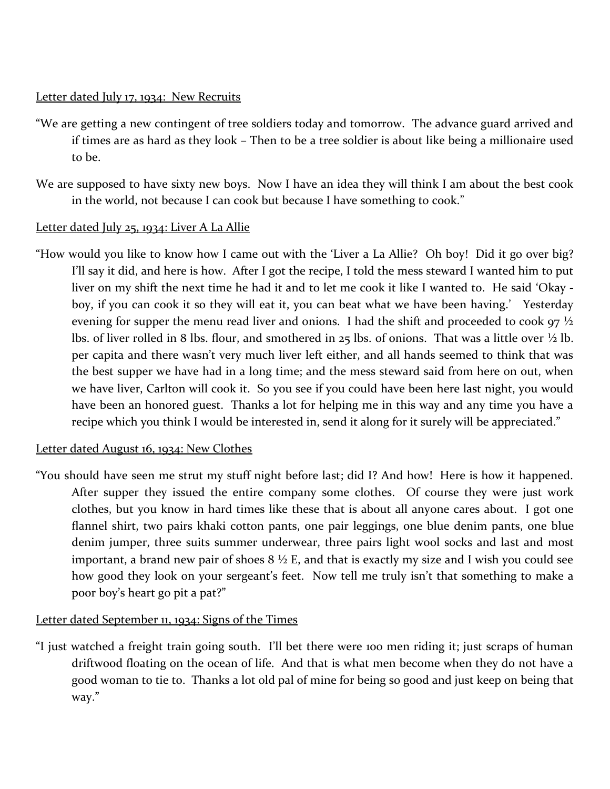## Letter dated July 17, 1934: New Recruits

- "We are getting a new contingent of tree soldiers today and tomorrow. The advance guard arrived and if times are as hard as they look – Then to be a tree soldier is about like being a millionaire used to be.
- We are supposed to have sixty new boys. Now I have an idea they will think I am about the best cook in the world, not because I can cook but because I have something to cook."

## Letter dated July 25, 1934: Liver A La Allie

"How would you like to know how I came out with the 'Liver a La Allie? Oh boy! Did it go over big? I'll say it did, and here is how. After I got the recipe, I told the mess steward I wanted him to put liver on my shift the next time he had it and to let me cook it like I wanted to. He said 'Okay boy, if you can cook it so they will eat it, you can beat what we have been having.' Yesterday evening for supper the menu read liver and onions. I had the shift and proceeded to cook  $97\frac{1}{2}$ lbs. of liver rolled in 8 lbs. flour, and smothered in 25 lbs. of onions. That was a little over  $\frac{1}{2}$  lb. per capita and there wasn't very much liver left either, and all hands seemed to think that was the best supper we have had in a long time; and the mess steward said from here on out, when we have liver, Carlton will cook it. So you see if you could have been here last night, you would have been an honored guest. Thanks a lot for helping me in this way and any time you have a recipe which you think I would be interested in, send it along for it surely will be appreciated."

## Letter dated August 16, 1934: New Clothes

"You should have seen me strut my stuff night before last; did I? And how! Here is how it happened. After supper they issued the entire company some clothes. Of course they were just work clothes, but you know in hard times like these that is about all anyone cares about. I got one flannel shirt, two pairs khaki cotton pants, one pair leggings, one blue denim pants, one blue denim jumper, three suits summer underwear, three pairs light wool socks and last and most important, a brand new pair of shoes  $8\frac{1}{2}$  E, and that is exactly my size and I wish you could see how good they look on your sergeant's feet. Now tell me truly isn't that something to make a poor boy's heart go pit a pat?"

## Letter dated September 11, 1934: Signs of the Times

"I just watched a freight train going south. I'll bet there were 100 men riding it; just scraps of human driftwood floating on the ocean of life. And that is what men become when they do not have a good woman to tie to. Thanks a lot old pal of mine for being so good and just keep on being that way."